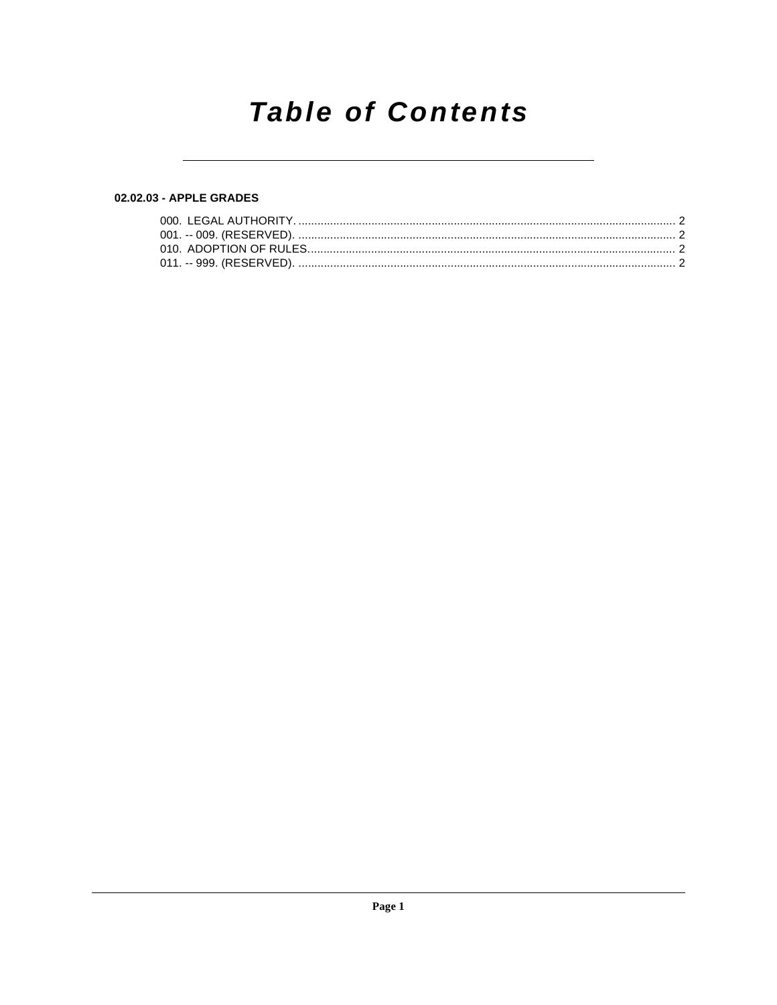# **Table of Contents**

## 02.02.03 - APPLE GRADES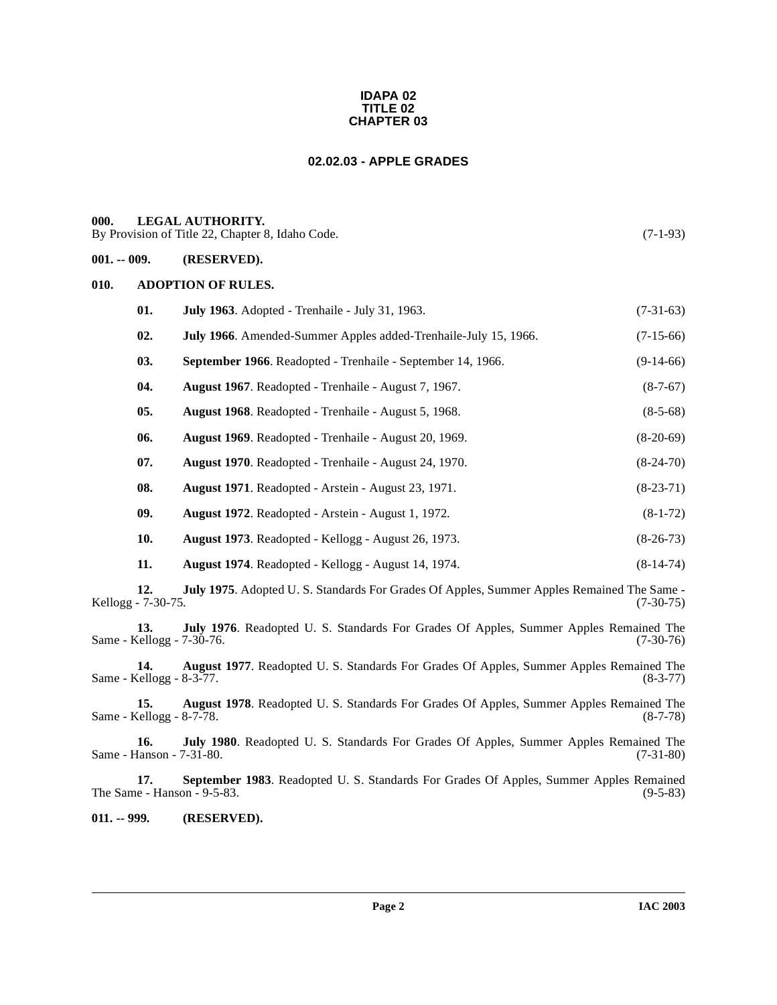#### **IDAPA 02 TITLE 02 CHAPTER 03**

### **02.02.03 - APPLE GRADES**

#### <span id="page-1-1"></span><span id="page-1-0"></span>**000. LEGAL AUTHORITY.**

By Provision of Title 22, Chapter 8, Idaho Code. (7-1-93)

#### <span id="page-1-2"></span>**001. -- 009. (RESERVED).**

#### <span id="page-1-3"></span>**010. ADOPTION OF RULES.**

| 01. | <b>July 1963.</b> Adopted - Trenhaile - July 31, 1963.          | $(7-31-63)$ |
|-----|-----------------------------------------------------------------|-------------|
| 02. | July 1966. Amended-Summer Apples added-Trenhaile-July 15, 1966. | $(7-15-66)$ |
| 03. | September 1966. Readopted - Trenhaile - September 14, 1966.     | $(9-14-66)$ |
| 04. | August 1967. Readopted - Trenhaile - August 7, 1967.            | $(8-7-67)$  |
| 05. | <b>August 1968.</b> Readopted - Trenhaile - August 5, 1968.     | $(8-5-68)$  |
| 06. | <b>August 1969.</b> Readopted - Trenhaile - August 20, 1969.    | $(8-20-69)$ |
| 07. | <b>August 1970.</b> Readopted - Trenhaile - August 24, 1970.    | $(8-24-70)$ |
| 08. | August 1971. Readopted - Arstein - August 23, 1971.             | $(8-23-71)$ |
| 09. | August 1972. Readopted - Arstein - August 1, 1972.              | $(8-1-72)$  |
| 10. | August 1973. Readopted - Kellogg - August 26, 1973.             | $(8-26-73)$ |
| 11. | August 1974. Readopted - Kellogg - August 14, 1974.             | $(8-14-74)$ |
|     |                                                                 |             |

**12. July 1975**. Adopted U. S. Standards For Grades Of Apples, Summer Apples Remained The Same -  $12. J$ <br>Kellogg - 7-30-75.

**13. July 1976**. Readopted U. S. Standards For Grades Of Apples, Summer Apples Remained The Same - Kellogg - 7-30-76.

**14. August 1977**. Readopted U. S. Standards For Grades Of Apples, Summer Apples Remained The Same - Kellogg - 8-3-77. (8-3-77)

**15. August 1978**. Readopted U. S. Standards For Grades Of Apples, Summer Apples Remained The Cellogg - 8-7-78. (8-7-78) Same - Kellogg -  $8-7-78$ .

**16. July 1980**. Readopted U. S. Standards For Grades Of Apples, Summer Apples Remained The Same - Hanson -  $7-31-80$ .

**17. September 1983**. Readopted U. S. Standards For Grades Of Apples, Summer Apples Remained The Same - Hanson - 9-5-83. (9-5-83)

<span id="page-1-4"></span>**011. -- 999. (RESERVED).**